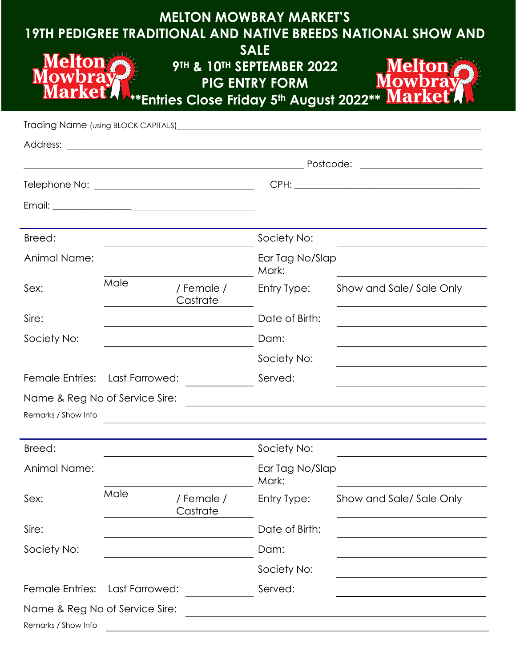| <b>MELTON MOWBRAY MARKET'S</b><br><b>19TH PEDIGREE TRADITIONAL AND NATIVE BREEDS NATIONAL SHOW AND</b><br><b>SALE</b> |                |                        |                                                    |                                                                                                                           |  |  |  |
|-----------------------------------------------------------------------------------------------------------------------|----------------|------------------------|----------------------------------------------------|---------------------------------------------------------------------------------------------------------------------------|--|--|--|
| Melfon<br>larke <sub>1</sub><br><b>**Entries Close Friday 5th August 2022 **</b>                                      |                |                        | 9TH & 10TH SEPTEMBER 2022<br><b>PIG ENTRY FORM</b> | <b>Melton</b><br><b>Marke</b>                                                                                             |  |  |  |
|                                                                                                                       |                |                        |                                                    | Trading Name (using BLOCK CAPITALS) <b>contained a manufacture of the CAPITALS</b> of Trading Name (using BLOCK CAPITALS) |  |  |  |
|                                                                                                                       |                |                        |                                                    |                                                                                                                           |  |  |  |
|                                                                                                                       |                |                        |                                                    |                                                                                                                           |  |  |  |
| Breed:                                                                                                                |                |                        | Society No:                                        |                                                                                                                           |  |  |  |
| Animal Name:                                                                                                          |                |                        | Ear Tag No/Slap<br>Mark:                           |                                                                                                                           |  |  |  |
| Sex:                                                                                                                  | Male           | / Female /<br>Castrate | Entry Type:                                        | Show and Sale/Sale Only                                                                                                   |  |  |  |
| Sire:                                                                                                                 |                |                        | Date of Birth:                                     |                                                                                                                           |  |  |  |
| Society No:                                                                                                           |                |                        | Dam:                                               |                                                                                                                           |  |  |  |
|                                                                                                                       |                |                        | Society No:                                        |                                                                                                                           |  |  |  |
| Female Entries: Last Farrowed:                                                                                        |                |                        | Served:                                            |                                                                                                                           |  |  |  |
| Name & Reg No of Service Sire:<br>Remarks / Show Info                                                                 |                |                        |                                                    |                                                                                                                           |  |  |  |
| Breed:                                                                                                                |                |                        | Society No:                                        |                                                                                                                           |  |  |  |
| Animal Name:                                                                                                          |                |                        | Ear Tag No/Slap<br>Mark:                           |                                                                                                                           |  |  |  |
| Sex:                                                                                                                  | Male           | / Female /<br>Castrate | Entry Type:                                        | Show and Sale/Sale Only                                                                                                   |  |  |  |
| Sire:                                                                                                                 |                |                        | Date of Birth:                                     |                                                                                                                           |  |  |  |
| Society No:                                                                                                           |                |                        | Dam:                                               |                                                                                                                           |  |  |  |
|                                                                                                                       |                |                        | Society No:                                        |                                                                                                                           |  |  |  |
| Female Entries:                                                                                                       | Last Farrowed: |                        | Served:                                            |                                                                                                                           |  |  |  |
| Name & Reg No of Service Sire:<br>Remarks / Show Info                                                                 |                |                        |                                                    |                                                                                                                           |  |  |  |